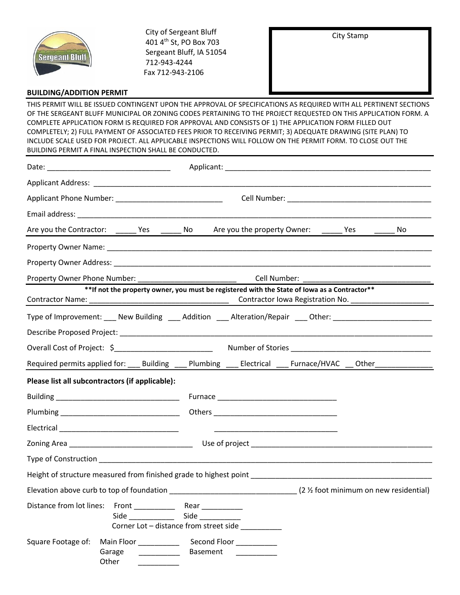

 City of Sergeant Bluff 401 4th St, PO Box 703 Sergeant Bluff, IA 51054 712-943-4244 Fax 712-943-2106

## **BUILDING/ADDITION PERMIT**

THIS PERMIT WILL BE ISSUED CONTINGENT UPON THE APPROVAL OF SPECIFICATIONS AS REQUIRED WITH ALL PERTINENT SECTIONS OF THE SERGEANT BLUFF MUNICIPAL OR ZONING CODES PERTAINING TO THE PROJECT REQUESTED ON THIS APPLICATION FORM. A COMPLETE APPLICATION FORM IS REQUIRED FOR APPROVAL AND CONSISTS OF 1) THE APPLICATION FORM FILLED OUT COMPLETELY; 2) FULL PAYMENT OF ASSOCIATED FEES PRIOR TO RECEIVING PERMIT; 3) ADEQUATE DRAWING (SITE PLAN) TO INCLUDE SCALE USED FOR PROJECT. ALL APPLICABLE INSPECTIONS WILL FOLLOW ON THE PERMIT FORM. TO CLOSE OUT THE BUILDING PERMIT A FINAL INSPECTION SHALL BE CONDUCTED.

|                                                                                                                     |                                                                                              |          |                                   |  |  | No. |
|---------------------------------------------------------------------------------------------------------------------|----------------------------------------------------------------------------------------------|----------|-----------------------------------|--|--|-----|
|                                                                                                                     |                                                                                              |          |                                   |  |  |     |
|                                                                                                                     |                                                                                              |          |                                   |  |  |     |
|                                                                                                                     |                                                                                              |          |                                   |  |  |     |
|                                                                                                                     | **If not the property owner, you must be registered with the State of Iowa as a Contractor** |          |                                   |  |  |     |
| Type of Improvement: Mew Building ______ Addition ______ Alteration/Repair _____ Other: ____________                |                                                                                              |          |                                   |  |  |     |
|                                                                                                                     |                                                                                              |          |                                   |  |  |     |
|                                                                                                                     |                                                                                              |          |                                   |  |  |     |
| Required permits applied for: ____ Building ____ Plumbing ____ Electrical ____ Furnace/HVAC ___ Other______________ |                                                                                              |          |                                   |  |  |     |
| Please list all subcontractors (if applicable):                                                                     |                                                                                              |          |                                   |  |  |     |
|                                                                                                                     |                                                                                              |          |                                   |  |  |     |
|                                                                                                                     |                                                                                              |          |                                   |  |  |     |
|                                                                                                                     |                                                                                              |          |                                   |  |  |     |
|                                                                                                                     |                                                                                              |          |                                   |  |  |     |
|                                                                                                                     |                                                                                              |          |                                   |  |  |     |
|                                                                                                                     |                                                                                              |          |                                   |  |  |     |
|                                                                                                                     |                                                                                              |          |                                   |  |  |     |
| Distance from lot lines:                                                                                            | Side __________<br>Corner Lot - distance from street side                                    | Side     |                                   |  |  |     |
| Square Footage of:<br>Other                                                                                         | Main Floor ___________<br>Garage                                                             | Basement | Second Floor and the Second Floor |  |  |     |